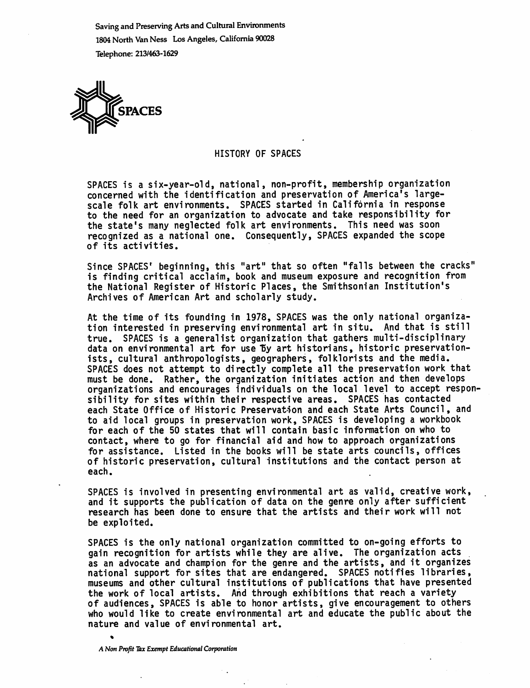Saving and Preserving Arts and Cultural Environments 1804 North Van Ness Los Angeles, California 90028 Telephone: 213/463-1629



## HISTORY OF SPACES

SPACES is a six-year-old, national, non-profit, membership organization concerned with the identification and preservation of America's largescale folk art environments. SPACES started in California in response to the need for an organization to advocate and take responsibility for the state's many neglected folk art environments. This need was soon recognized as a national one. Consequently, SPACES expanded the scope of its activities.

Since SPACES<sup>t</sup> beginning, this "art" that so often "falls between the cracks" is finding critical acclaim, book and museum exposure and recognition from the National Register of Historic Places, the Smithsonian Institution's Archives of American Art and scholarly study.

At the time of its founding in 1978, SPACES was the only national organiza tion interested in preserving environmental art in situ. And that is still true. SPACES is a generalist organization that gathers multi-disciplinary data on environmental art for use by art historians, historic preservationists, cultural anthropologists, geographers, folklorists and the media. SPACES does not attempt to directly complete all the preservation work that must be done. Rather, the organization initiates action and then develops organizations and encourages individuals on the local level to accept responsibility for sites within their respective areas. SPACES has contacted each State Office of Historic Preservation and each State Arts Council, and to aid local groups in preservation work, SPACES is developing a workbook for each of the 50 states that will contain basic information on who to contact, where to go for financial aid and how to approach organizations for assistance. Listed in the books will be state arts councils, offices of historic preservation, cultural institutions and the contact person at each.

SPACES is involved in presenting environmental art as valid, creative work, and it supports the publication of data on the genre only after sufficient research has been done to ensure that the artists and their work will not be exploited.

SPACES is the only national organization committed to on-going efforts to gain recognition for artists while they are alive. The organization acts as an advocate and champion for the genre and the artists, and it organizes national support for sites that are endangered. SPACES notifies libraries, museums and other cultural institutions of publications that have presented the work of local artists. And through exhibitions that reach a variety of audiences, SPACES is able to honor artists, give encouragement to others who would like to create environmental art and educate the public about the nature and value of environmental art.

A Non Profit Tax Exempt Educational Corporation